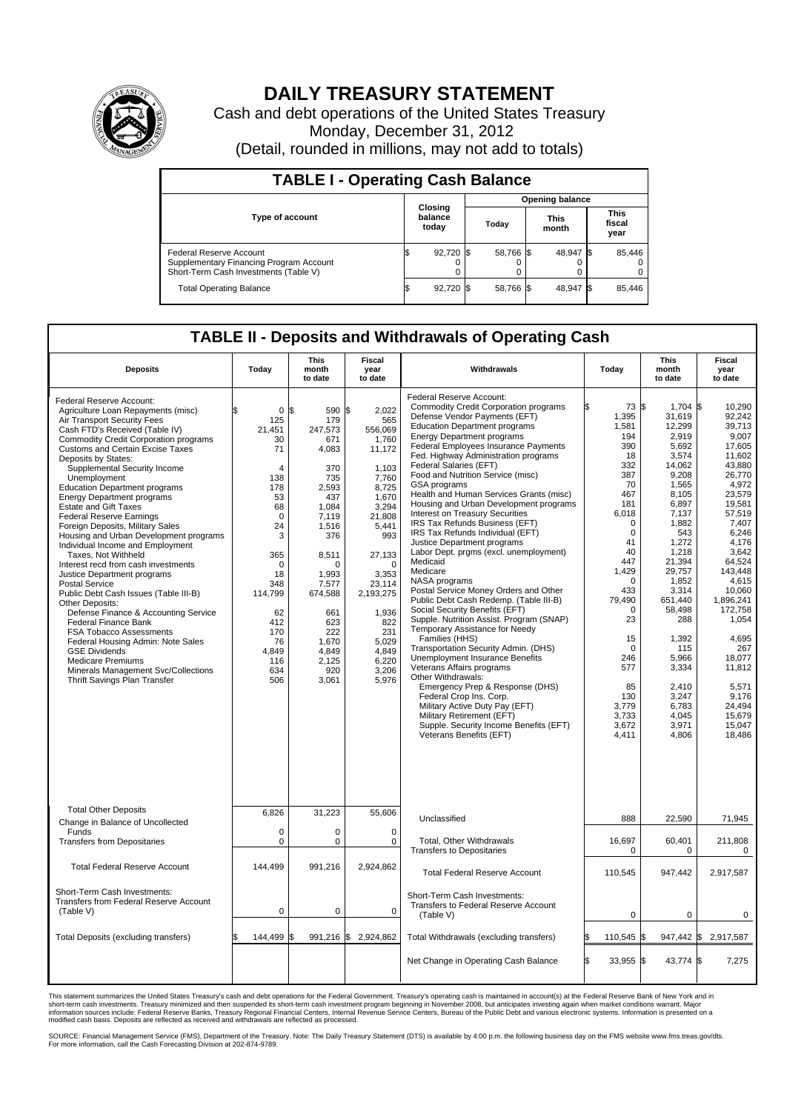

## **DAILY TREASURY STATEMENT**

Cash and debt operations of the United States Treasury Monday, December 31, 2012 (Detail, rounded in millions, may not add to totals)

| <b>TABLE I - Operating Cash Balance</b>                                                                     |                             |                        |                      |                               |  |  |  |  |
|-------------------------------------------------------------------------------------------------------------|-----------------------------|------------------------|----------------------|-------------------------------|--|--|--|--|
|                                                                                                             |                             | <b>Opening balance</b> |                      |                               |  |  |  |  |
| <b>Type of account</b>                                                                                      | Closing<br>balance<br>today | Todav                  | <b>This</b><br>month | <b>This</b><br>fiscal<br>year |  |  |  |  |
| Federal Reserve Account<br>Supplementary Financing Program Account<br>Short-Term Cash Investments (Table V) | 92,720 \$                   | 58,766 \$              | 48.947 \$            | 85,446<br>$^{(1)}$<br>0       |  |  |  |  |
| <b>Total Operating Balance</b>                                                                              | 92,720 \$                   | 58,766 \$              | 48,947 \$            | 85,446                        |  |  |  |  |

## **TABLE II - Deposits and Withdrawals of Operating Cash**

| <b>Deposits</b>                                                                                                                                                                                                                                                                                                                                                                                                                                                                                                                                                                                                                                                                                                                                                                                                                                                                                                                                                                                                         | Todav                                                                                                                                                                                                   | <b>This</b><br>month<br>to date                                                                                                                                                                                                | Fiscal<br>vear<br>to date                                                                                                                                                                                                                         | Withdrawals                                                                                                                                                                                                                                                                                                                                                                                                                                                                                                                                                                                                                                                                                                                                                                                                                                                                                                                                                                                                                                                                                                                                                                                                                | Todav                                                                                                                                                                                                                                                                     | <b>This</b><br>month<br>to date                                                                                                                                                                                                                                                                              | Fiscal<br>vear<br>to date                                                                                                                                                                                                                                                                                                     |
|-------------------------------------------------------------------------------------------------------------------------------------------------------------------------------------------------------------------------------------------------------------------------------------------------------------------------------------------------------------------------------------------------------------------------------------------------------------------------------------------------------------------------------------------------------------------------------------------------------------------------------------------------------------------------------------------------------------------------------------------------------------------------------------------------------------------------------------------------------------------------------------------------------------------------------------------------------------------------------------------------------------------------|---------------------------------------------------------------------------------------------------------------------------------------------------------------------------------------------------------|--------------------------------------------------------------------------------------------------------------------------------------------------------------------------------------------------------------------------------|---------------------------------------------------------------------------------------------------------------------------------------------------------------------------------------------------------------------------------------------------|----------------------------------------------------------------------------------------------------------------------------------------------------------------------------------------------------------------------------------------------------------------------------------------------------------------------------------------------------------------------------------------------------------------------------------------------------------------------------------------------------------------------------------------------------------------------------------------------------------------------------------------------------------------------------------------------------------------------------------------------------------------------------------------------------------------------------------------------------------------------------------------------------------------------------------------------------------------------------------------------------------------------------------------------------------------------------------------------------------------------------------------------------------------------------------------------------------------------------|---------------------------------------------------------------------------------------------------------------------------------------------------------------------------------------------------------------------------------------------------------------------------|--------------------------------------------------------------------------------------------------------------------------------------------------------------------------------------------------------------------------------------------------------------------------------------------------------------|-------------------------------------------------------------------------------------------------------------------------------------------------------------------------------------------------------------------------------------------------------------------------------------------------------------------------------|
| Federal Reserve Account:<br>Agriculture Loan Repayments (misc)<br>Air Transport Security Fees<br>Cash FTD's Received (Table IV)<br><b>Commodity Credit Corporation programs</b><br><b>Customs and Certain Excise Taxes</b><br>Deposits by States:<br>Supplemental Security Income<br>Unemployment<br><b>Education Department programs</b><br><b>Energy Department programs</b><br><b>Estate and Gift Taxes</b><br><b>Federal Reserve Earnings</b><br>Foreign Deposits, Military Sales<br>Housing and Urban Development programs<br>Individual Income and Employment<br>Taxes, Not Withheld<br>Interest recd from cash investments<br>Justice Department programs<br><b>Postal Service</b><br>Public Debt Cash Issues (Table III-B)<br>Other Deposits:<br>Defense Finance & Accounting Service<br><b>Federal Finance Bank</b><br>FSA Tobacco Assessments<br>Federal Housing Admin: Note Sales<br><b>GSE Dividends</b><br><b>Medicare Premiums</b><br>Minerals Management Svc/Collections<br>Thrift Savings Plan Transfer | 0<br>125<br>21,451<br>30<br>71<br>$\overline{4}$<br>138<br>178<br>53<br>68<br>$\mathbf 0$<br>24<br>3<br>365<br>$\Omega$<br>18<br>348<br>114,799<br>62<br>412<br>170<br>76<br>4.849<br>116<br>634<br>506 | l\$<br>590<br>179<br>247,573<br>671<br>4,083<br>370<br>735<br>2,593<br>437<br>1,084<br>7,119<br>1,516<br>376<br>8,511<br>$\Omega$<br>1,993<br>7.577<br>674,588<br>661<br>623<br>222<br>1,670<br>4,849<br>2,125<br>920<br>3,061 | 2,022<br>ß.<br>565<br>556,069<br>1,760<br>11,172<br>1,103<br>7,760<br>8,725<br>1,670<br>3,294<br>21,808<br>5,441<br>993<br>27,133<br>$\Omega$<br>3,353<br>23,114<br>2,193,275<br>1,936<br>822<br>231<br>5,029<br>4,849<br>6,220<br>3,206<br>5,976 | Federal Reserve Account:<br>Commodity Credit Corporation programs<br>Defense Vendor Payments (EFT)<br><b>Education Department programs</b><br><b>Energy Department programs</b><br>Federal Employees Insurance Payments<br>Fed. Highway Administration programs<br>Federal Salaries (EFT)<br>Food and Nutrition Service (misc)<br>GSA programs<br>Health and Human Services Grants (misc)<br>Housing and Urban Development programs<br>Interest on Treasury Securities<br>IRS Tax Refunds Business (EFT)<br>IRS Tax Refunds Individual (EFT)<br>Justice Department programs<br>Labor Dept. prgms (excl. unemployment)<br>Medicaid<br>Medicare<br>NASA programs<br>Postal Service Money Orders and Other<br>Public Debt Cash Redemp. (Table III-B)<br>Social Security Benefits (EFT)<br>Supple. Nutrition Assist. Program (SNAP)<br>Temporary Assistance for Needy<br>Families (HHS)<br>Transportation Security Admin. (DHS)<br><b>Unemployment Insurance Benefits</b><br>Veterans Affairs programs<br>Other Withdrawals:<br>Emergency Prep & Response (DHS)<br>Federal Crop Ins. Corp.<br>Military Active Duty Pay (EFT)<br>Military Retirement (EFT)<br>Supple. Security Income Benefits (EFT)<br>Veterans Benefits (EFT) | 73 \$<br>1,395<br>1.581<br>194<br>390<br>18<br>332<br>387<br>70<br>467<br>181<br>6,018<br>0<br>$\mathbf 0$<br>41<br>40<br>447<br>1.429<br>$\mathbf 0$<br>433<br>79.490<br>$\Omega$<br>23<br>15<br>$\Omega$<br>246<br>577<br>85<br>130<br>3,779<br>3,733<br>3,672<br>4,411 | $1,704$ \$<br>31,619<br>12,299<br>2,919<br>5,692<br>3,574<br>14,062<br>9,208<br>1,565<br>8,105<br>6,897<br>7.137<br>1,882<br>543<br>1,272<br>1,218<br>21,394<br>29.757<br>1,852<br>3,314<br>651.440<br>58,498<br>288<br>1,392<br>115<br>5.966<br>3,334<br>2,410<br>3,247<br>6,783<br>4,045<br>3,971<br>4,806 | 10,290<br>92,242<br>39.713<br>9,007<br>17,605<br>11.602<br>43,880<br>26,770<br>4.972<br>23,579<br>19,581<br>57.519<br>7,407<br>6.246<br>4,176<br>3.642<br>64,524<br>143.448<br>4,615<br>10.060<br>1.896.241<br>172,758<br>1,054<br>4,695<br>267<br>18.077<br>11,812<br>5,571<br>9,176<br>24,494<br>15.679<br>15,047<br>18,486 |
| <b>Total Other Deposits</b><br>Change in Balance of Uncollected<br>Funds<br><b>Transfers from Depositaries</b>                                                                                                                                                                                                                                                                                                                                                                                                                                                                                                                                                                                                                                                                                                                                                                                                                                                                                                          | 6,826<br>0<br>0                                                                                                                                                                                         | 31,223<br>$\mathbf 0$<br>$\mathbf 0$                                                                                                                                                                                           | 55,606<br>$\Omega$<br>0                                                                                                                                                                                                                           | Unclassified<br>Total, Other Withdrawals                                                                                                                                                                                                                                                                                                                                                                                                                                                                                                                                                                                                                                                                                                                                                                                                                                                                                                                                                                                                                                                                                                                                                                                   | 888<br>16,697                                                                                                                                                                                                                                                             | 22,590<br>60,401                                                                                                                                                                                                                                                                                             | 71,945<br>211,808                                                                                                                                                                                                                                                                                                             |
| <b>Total Federal Reserve Account</b>                                                                                                                                                                                                                                                                                                                                                                                                                                                                                                                                                                                                                                                                                                                                                                                                                                                                                                                                                                                    | 144,499                                                                                                                                                                                                 | 991,216                                                                                                                                                                                                                        | 2,924,862                                                                                                                                                                                                                                         | <b>Transfers to Depositaries</b><br><b>Total Federal Reserve Account</b>                                                                                                                                                                                                                                                                                                                                                                                                                                                                                                                                                                                                                                                                                                                                                                                                                                                                                                                                                                                                                                                                                                                                                   | 0<br>110,545                                                                                                                                                                                                                                                              | $\mathbf 0$<br>947,442                                                                                                                                                                                                                                                                                       | $\Omega$<br>2,917,587                                                                                                                                                                                                                                                                                                         |
| Short-Term Cash Investments:<br><b>Transfers from Federal Reserve Account</b><br>(Table V)                                                                                                                                                                                                                                                                                                                                                                                                                                                                                                                                                                                                                                                                                                                                                                                                                                                                                                                              | $\mathbf 0$                                                                                                                                                                                             | $\mathbf{0}$                                                                                                                                                                                                                   | $\mathbf 0$                                                                                                                                                                                                                                       | Short-Term Cash Investments:<br>Transfers to Federal Reserve Account<br>(Table V)                                                                                                                                                                                                                                                                                                                                                                                                                                                                                                                                                                                                                                                                                                                                                                                                                                                                                                                                                                                                                                                                                                                                          | 0                                                                                                                                                                                                                                                                         | 0                                                                                                                                                                                                                                                                                                            | 0                                                                                                                                                                                                                                                                                                                             |
| Total Deposits (excluding transfers)                                                                                                                                                                                                                                                                                                                                                                                                                                                                                                                                                                                                                                                                                                                                                                                                                                                                                                                                                                                    | 144,499                                                                                                                                                                                                 | 1\$<br>991,216 \$                                                                                                                                                                                                              | 2,924,862                                                                                                                                                                                                                                         | Total Withdrawals (excluding transfers)                                                                                                                                                                                                                                                                                                                                                                                                                                                                                                                                                                                                                                                                                                                                                                                                                                                                                                                                                                                                                                                                                                                                                                                    | 110,545 \$                                                                                                                                                                                                                                                                |                                                                                                                                                                                                                                                                                                              | 947,442 \$2,917,587                                                                                                                                                                                                                                                                                                           |
|                                                                                                                                                                                                                                                                                                                                                                                                                                                                                                                                                                                                                                                                                                                                                                                                                                                                                                                                                                                                                         |                                                                                                                                                                                                         |                                                                                                                                                                                                                                |                                                                                                                                                                                                                                                   | Net Change in Operating Cash Balance                                                                                                                                                                                                                                                                                                                                                                                                                                                                                                                                                                                                                                                                                                                                                                                                                                                                                                                                                                                                                                                                                                                                                                                       | 33,955 \$<br>l\$                                                                                                                                                                                                                                                          | 43,774 \$                                                                                                                                                                                                                                                                                                    | 7,275                                                                                                                                                                                                                                                                                                                         |

This statement summarizes the United States Treasury's cash and debt operations for the Federal Government. Treasury's operating cash is maintained in account(s) at the Federal Reserve Bank of New York and in<br>short-term ca

SOURCE: Financial Management Service (FMS), Department of the Treasury. Note: The Daily Treasury Statement (DTS) is available by 4:00 p.m. the following business day on the FMS website www.fms.treas.gov/dts.<br>For more infor